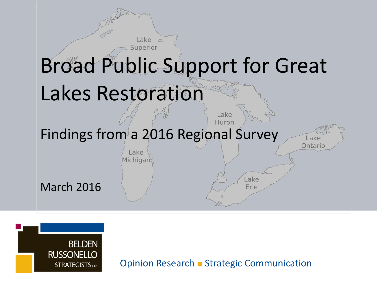



Opinion Research ■ Strategic Communication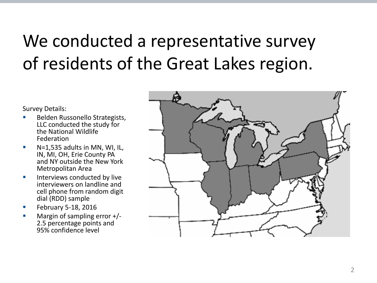## We conducted a representative survey of residents of the Great Lakes region.

Survey Details:

- Belden Russonello Strategists, LLC conducted the study for the National Wildlife Federation
- $N=1,535$  adults in MN, WI, IL, IN, MI, OH, Erie County PA and NY outside the New York Metropolitan Area
- $\blacksquare$  Interviews conducted by live interviewers on landline and cell phone from random digit dial (RDD) sample
- February 5-18, 2016
- Margin of sampling error +/- 2.5 percentage points and 95% confidence level

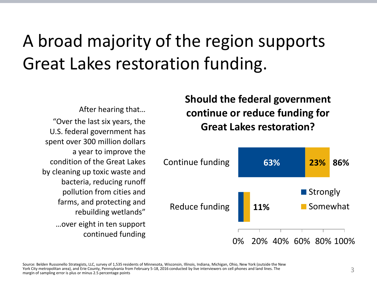## A broad majority of the region supports Great Lakes restoration funding.

After hearing that… "Over the last six years, the U.S. federal government has spent over 300 million dollars a year to improve the condition of the Great Lakes by cleaning up toxic waste and bacteria, reducing runoff pollution from cities and farms, and protecting and rebuilding wetlands" …over eight in ten support continued funding

**Should the federal government continue or reduce funding for Great Lakes restoration?**

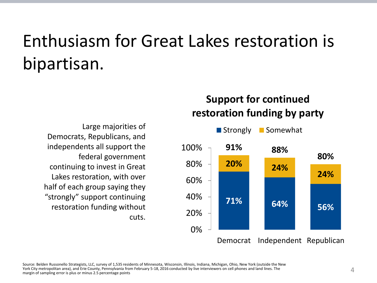## Enthusiasm for Great Lakes restoration is bipartisan.

Large majorities of Democrats, Republicans, and independents all support the federal government continuing to invest in Great Lakes restoration, with over half of each group saying they "strongly" support continuing restoration funding without cuts.

#### **Support for continued restoration funding by party**

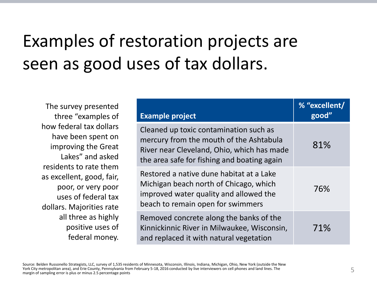## Examples of restoration projects are seen as good uses of tax dollars.

The survey presented three "examples of how federal tax dollars have been spent on improving the Great Lakes" and asked residents to rate them as excellent, good, fair, poor, or very poor uses of federal tax dollars. Majorities rate all three as highly positive uses of federal money.

| <b>Example project</b>                                                                                                                                                         | % "excellent/<br>good" |
|--------------------------------------------------------------------------------------------------------------------------------------------------------------------------------|------------------------|
| Cleaned up toxic contamination such as<br>mercury from the mouth of the Ashtabula<br>River near Cleveland, Ohio, which has made<br>the area safe for fishing and boating again | 81%                    |
| Restored a native dune habitat at a Lake<br>Michigan beach north of Chicago, which<br>improved water quality and allowed the<br>beach to remain open for swimmers              | 76%                    |
| Removed concrete along the banks of the<br>Kinnickinnic River in Milwaukee, Wisconsin,<br>and replaced it with natural vegetation                                              | 71%                    |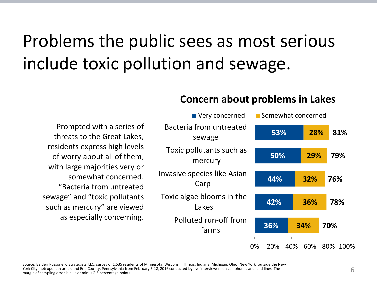## Problems the public sees as most serious include toxic pollution and sewage.

#### **Concern about problems in Lakes**

Prompted with a series of threats to the Great Lakes, residents express high levels of worry about all of them, with large majorities very or somewhat concerned. "Bacteria from untreated sewage" and "toxic pollutants such as mercury" are viewed as especially concerning.

| ■ Very concerned                    | ■ Somewhat concerned |     |          |
|-------------------------------------|----------------------|-----|----------|
| Bacteria from untreated<br>sewage   | 53%                  | 28% | 81%      |
| Toxic pollutants such as<br>mercury | 50%                  | 29% | 79%      |
| Invasive species like Asian<br>Carp | 44%                  | 32% | 76%      |
| Toxic algae blooms in the<br>Lakes  | 42%                  | 36% | 78%      |
| Polluted run-off from<br>farms      | 36%                  | 34% | 70%      |
|                                     | 0%<br>40%<br>20%     | 60% | 80% 100% |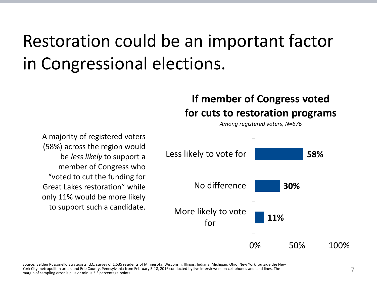## Restoration could be an important factor in Congressional elections.

#### **If member of Congress voted for cuts to restoration programs**

*Among registered voters, N=676*

A majority of registered voters (58%) across the region would be *less likely* to support a member of Congress who "voted to cut the funding for Great Lakes restoration" while only 11% would be more likely to support such a candidate.

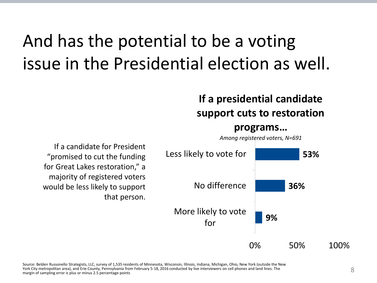## And has the potential to be a voting issue in the Presidential election as well.

#### **If a presidential candidate support cuts to restoration**

#### **programs…**

*Among registered voters, N=691*



If a candidate for President "promised to cut the funding for Great Lakes restoration," a majority of registered voters would be less likely to support that person.